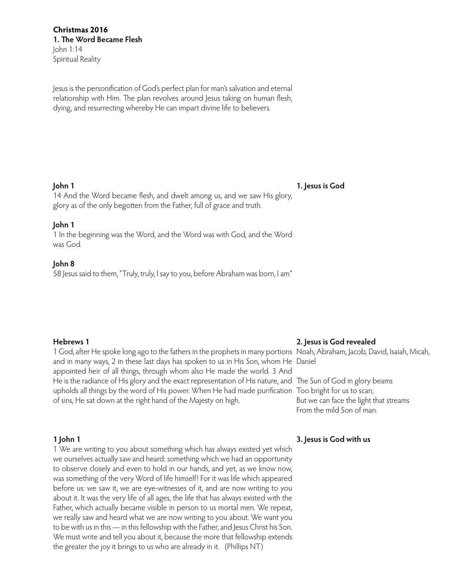Jesus is the personification of God's perfect plan for man's salvation and eternal relationship with Him. The plan revolves around Jesus taking on human flesh, dying, and resurrecting whereby He can impart divine life to believers.

## **John 1**

**1. Jesus is God**

14 And the Word became flesh, and dwelt among us, and we saw His glory, glory as of the only begotten from the Father, full of grace and truth.

# **John 1**

1 In the beginning was the Word, and the Word was with God, and the Word was God.

# **John 8**

58 Jesus said to them, "Truly, truly, I say to you, before Abraham was born, I am."

## **Hebrews 1**

1 God, after He spoke long ago to the fathers in the prophets in many portions Noah, Abraham, Jacob, David, Isaiah, Micah, and in many ways, 2 in these last days has spoken to us in His Son, whom He Daniel appointed heir of all things, through whom also He made the world. 3 And He is the radiance of His glory and the exact representation of His nature, and The Sun of God in glory beams upholds all things by the word of His power. When He had made purification Too bright for us to scan; of sins, He sat down at the right hand of the Majesty on high.

## **1 John 1**

1 We are writing to you about something which has always existed yet which we ourselves actually saw and heard: something which we had an opportunity to observe closely and even to hold in our hands, and yet, as we know now, was something of the very Word of life himself! For it was life which appeared before us: we saw it, we are eye-witnesses of it, and are now writing to you about it. It was the very life of all ages, the life that has always existed with the Father, which actually became visible in person to us mortal men. We repeat, we really saw and heard what we are now writing to you about. We want you to be with us in this — in this fellowship with the Father, and Jesus Christ his Son. We must write and tell you about it, because the more that fellowship extends the greater the joy it brings to us who are already in it. (Phillips NT)

## **2. Jesus is God revealed**

But we can face the light that streams From the mild Son of man.

# **3. Jesus is God with us**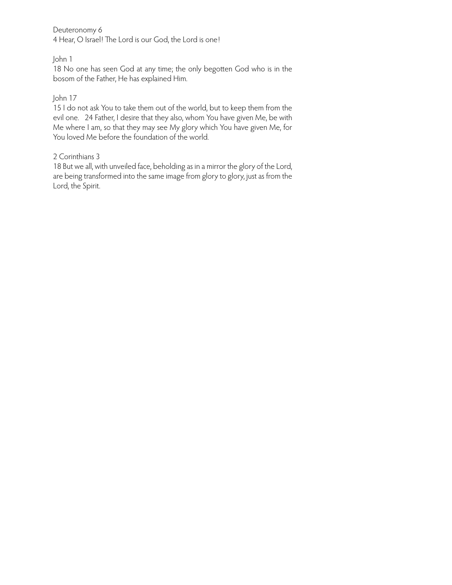Deuteronomy 6

4 Hear, O Israel! The Lord is our God, the Lord is one!

# John 1

18 No one has seen God at any time; the only begotten God who is in the bosom of the Father, He has explained Him.

# John 17

15 I do not ask You to take them out of the world, but to keep them from the evil one. 24 Father, I desire that they also, whom You have given Me, be with Me where I am, so that they may see My glory which You have given Me, for You loved Me before the foundation of the world.

# 2 Corinthians 3

18 But we all, with unveiled face, beholding as in a mirror the glory of the Lord, are being transformed into the same image from glory to glory, just as from the Lord, the Spirit.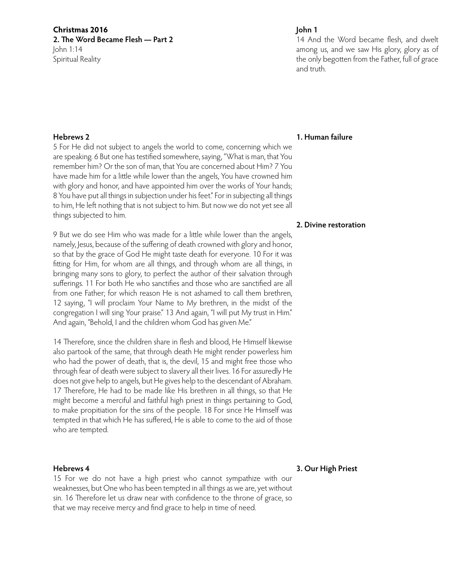**Christmas 2016 2. The Word Became Flesh — Part 2** John 1:14 Spiritual Reality

## **Hebrews 2**

5 For He did not subject to angels the world to come, concerning which we are speaking. 6 But one has testified somewhere, saying, "What is man, that You remember him? Or the son of man, that You are concerned about Him? 7 You have made him for a little while lower than the angels, You have crowned him with glory and honor, and have appointed him over the works of Your hands; 8 You have put all things in subjection under his feet." For in subjecting all things to him, He left nothing that is not subject to him. But now we do not yet see all things subjected to him.

9 But we do see Him who was made for a little while lower than the angels, namely, Jesus, because of the suffering of death crowned with glory and honor, so that by the grace of God He might taste death for everyone. 10 For it was fitting for Him, for whom are all things, and through whom are all things, in bringing many sons to glory, to perfect the author of their salvation through sufferings. 11 For both He who sanctifies and those who are sanctified are all from one Father; for which reason He is not ashamed to call them brethren, 12 saying, "I will proclaim Your Name to My brethren, in the midst of the congregation I will sing Your praise." 13 And again, "I will put My trust in Him." And again, "Behold, I and the children whom God has given Me."

14 Therefore, since the children share in flesh and blood, He Himself likewise also partook of the same, that through death He might render powerless him who had the power of death, that is, the devil, 15 and might free those who through fear of death were subject to slavery all their lives. 16 For assuredly He does not give help to angels, but He gives help to the descendant of Abraham. 17 Therefore, He had to be made like His brethren in all things, so that He might become a merciful and faithful high priest in things pertaining to God, to make propitiation for the sins of the people. 18 For since He Himself was tempted in that which He has suffered, He is able to come to the aid of those who are tempted.

## **Hebrews 4**

15 For we do not have a high priest who cannot sympathize with our weaknesses, but One who has been tempted in all things as we are, yet without sin. 16 Therefore let us draw near with confidence to the throne of grace, so that we may receive mercy and find grace to help in time of need.

## **John 1**

14 And the Word became flesh, and dwelt among us, and we saw His glory, glory as of the only begotten from the Father, full of grace and truth.

#### **1. Human failure**

## **2. Divine restoration**

## **3. Our High Priest**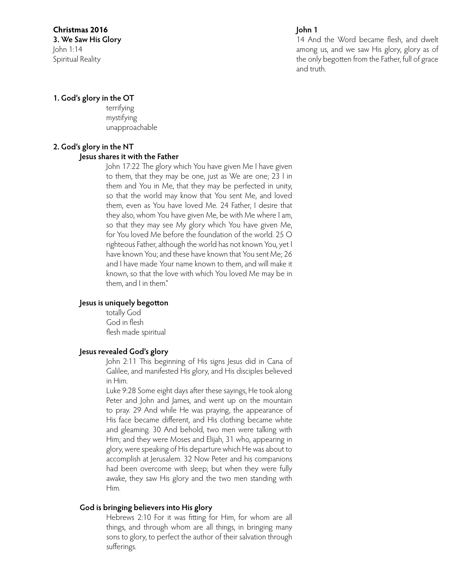# **Christmas 2016**

**3. We Saw His Glory** John 1:14 Spiritual Reality

# **John 1**

14 And the Word became flesh, and dwelt among us, and we saw His glory, glory as of the only begotten from the Father, full of grace and truth.

# **1. God's glory in the OT**

terrifying mystifying unapproachable

# **2. God's glory in the NT**

# **Jesus shares it with the Father**

John 17:22 The glory which You have given Me I have given to them, that they may be one, just as We are one; 23 I in them and You in Me, that they may be perfected in unity, so that the world may know that You sent Me, and loved them, even as You have loved Me. 24 Father, I desire that they also, whom You have given Me, be with Me where I am, so that they may see My glory which You have given Me, for You loved Me before the foundation of the world. 25 O righteous Father, although the world has not known You, yet I have known You; and these have known that You sent Me; 26 and I have made Your name known to them, and will make it known, so that the love with which You loved Me may be in them, and I in them."

# **Jesus is uniquely begotton**

totally God God in flesh flesh made spiritual

# **Jesus revealed God's glory**

John 2:11 This beginning of His signs Jesus did in Cana of Galilee, and manifested His glory, and His disciples believed in Him.

Luke 9:28 Some eight days after these sayings, He took along Peter and John and James, and went up on the mountain to pray. 29 And while He was praying, the appearance of His face became different, and His clothing became white and gleaming. 30 And behold, two men were talking with Him; and they were Moses and Elijah, 31 who, appearing in glory, were speaking of His departure which He was about to accomplish at Jerusalem. 32 Now Peter and his companions had been overcome with sleep; but when they were fully awake, they saw His glory and the two men standing with Him.

# **God is bringing believers into His glory**

Hebrews 2:10 For it was fitting for Him, for whom are all things, and through whom are all things, in bringing many sons to glory, to perfect the author of their salvation through sufferings.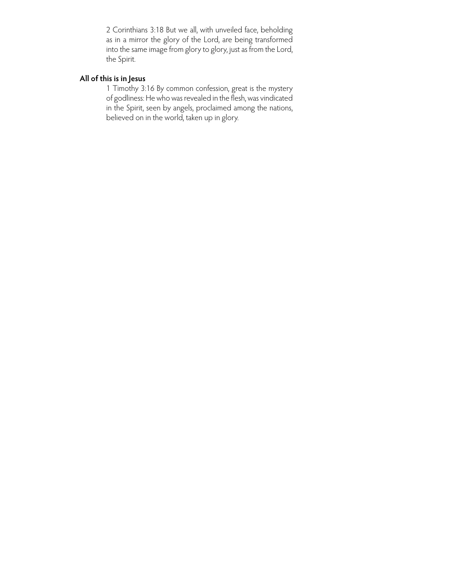2 Corinthians 3:18 But we all, with unveiled face, beholding as in a mirror the glory of the Lord, are being transformed into the same image from glory to glory, just as from the Lord, the Spirit.

# **All of this is in Jesus**

1 Timothy 3:16 By common confession, great is the mystery of godliness: He who was revealed in the flesh, was vindicated in the Spirit, seen by angels, proclaimed among the nations, believed on in the world, taken up in glory.